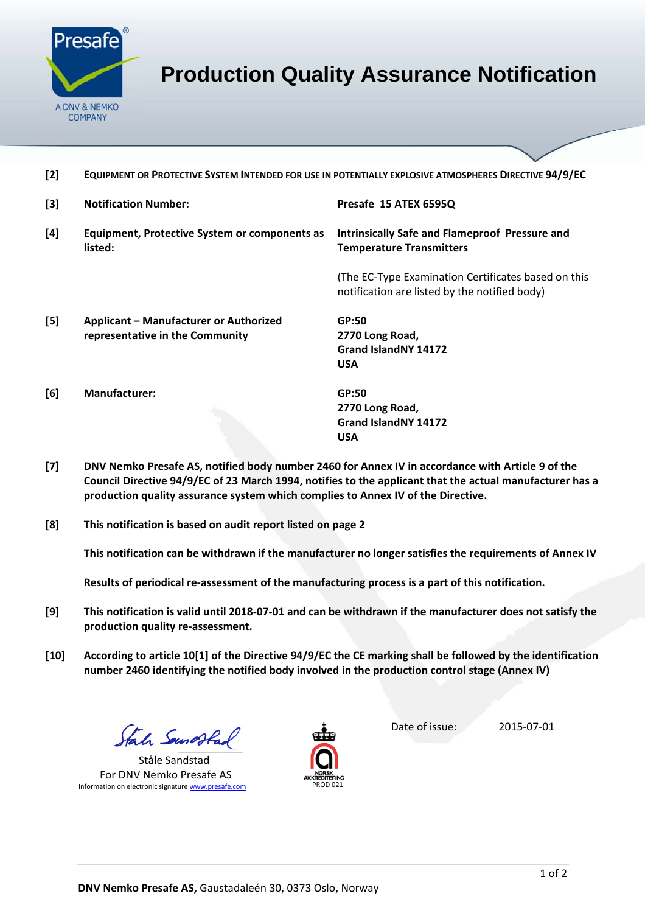

## **Production Quality Assurance Notification**

**[2] EQUIPMENT OR PROTECTIVE SYSTEM INTENDED FOR USE IN POTENTIALLY EXPLOSIVE ATMOSPHERES DIRECTIVE 94/9/EC**

| [3]   | <b>Notification Number:</b>                              | Presafe 15 ATEX 6595Q                                                                                |  |
|-------|----------------------------------------------------------|------------------------------------------------------------------------------------------------------|--|
| [4]   | Equipment, Protective System or components as<br>listed: | <b>Intrinsically Safe and Flameproof Pressure and</b><br><b>Temperature Transmitters</b>             |  |
|       |                                                          | (The EC-Type Examination Certificates based on this<br>notification are listed by the notified body) |  |
| $[5]$ | <b>Applicant - Manufacturer or Authorized</b>            | GP:50                                                                                                |  |
|       | representative in the Community                          | 2770 Long Road,                                                                                      |  |
|       |                                                          | <b>Grand IslandNY 14172</b>                                                                          |  |
|       |                                                          | <b>USA</b>                                                                                           |  |
| [6]   | <b>Manufacturer:</b>                                     | GP:50                                                                                                |  |
|       |                                                          | 2770 Long Road,                                                                                      |  |
|       |                                                          | Grand IslandNY 14172                                                                                 |  |
|       |                                                          | <b>USA</b>                                                                                           |  |

- [7] DNV Nemko Presafe AS, notified body number 2460 for Annex IV in accordance with Article 9 of the **Council Directive 94/9/EC of 23 March 1994, notifies to the applicant that the actual manufacturer has a production quality assurance system which complies to Annex IV of the Directive.**
- **[8] This notification is based on audit report listed on page 2**

**This notification can be withdrawn if the manufacturer no longer satisfies the requirements of Annex IV**

**Results of periodical re‐assessment of the manufacturing process is a part of this notification.**

- [9] This notification is valid until 2018-07-01 and can be withdrawn if the manufacturer does not satisfy the **production quality re‐assessment.**
- [10] According to article 10[1] of the Directive 94/9/EC the CE marking shall be followed by the identification **number 2460 identifying the notified body involved in the production control stage (Annex IV)**

Stale Sanosta

Ståle Sandstad For DNV Nemko Presafe AS Information on electronic signature www.presafe.com PROD 021



Date of issue: 2015‐07‐01